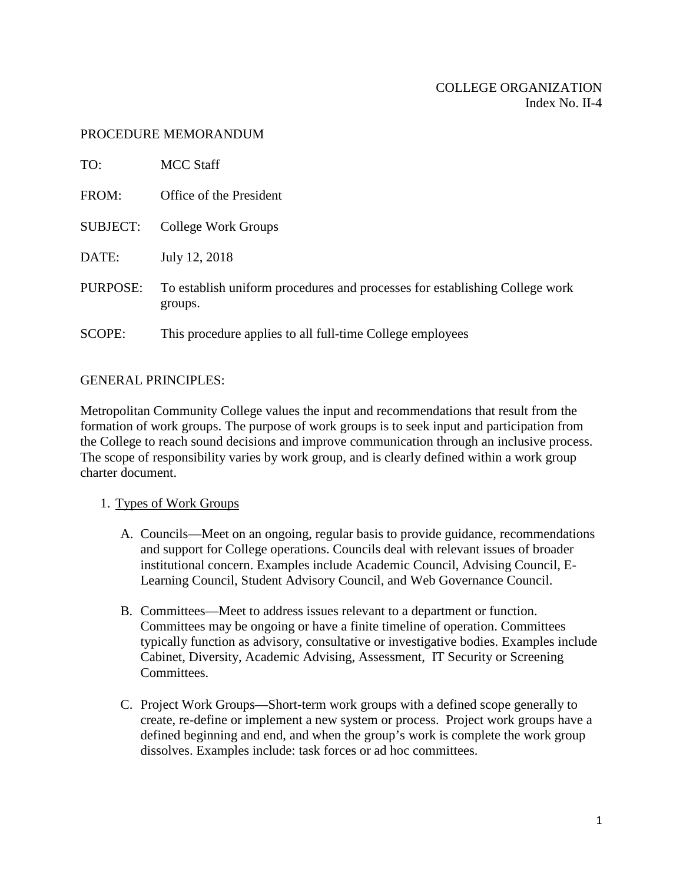### PROCEDURE MEMORANDUM

| TO:             | MCC Staff                                                                              |
|-----------------|----------------------------------------------------------------------------------------|
| FROM:           | Office of the President                                                                |
| <b>SUBJECT:</b> | College Work Groups                                                                    |
| DATE:           | July 12, 2018                                                                          |
| PURPOSE:        | To establish uniform procedures and processes for establishing College work<br>groups. |
| SCOPE:          | This procedure applies to all full-time College employees                              |

### GENERAL PRINCIPLES:

Metropolitan Community College values the input and recommendations that result from the formation of work groups. The purpose of work groups is to seek input and participation from the College to reach sound decisions and improve communication through an inclusive process. The scope of responsibility varies by work group, and is clearly defined within a work group charter document.

# 1. Types of Work Groups

- A. Councils—Meet on an ongoing, regular basis to provide guidance, recommendations and support for College operations. Councils deal with relevant issues of broader institutional concern. Examples include Academic Council, Advising Council, E-Learning Council, Student Advisory Council, and Web Governance Council.
- B. Committees—Meet to address issues relevant to a department or function. Committees may be ongoing or have a finite timeline of operation. Committees typically function as advisory, consultative or investigative bodies. Examples include Cabinet, Diversity, Academic Advising, Assessment, IT Security or Screening Committees.
- C. Project Work Groups—Short-term work groups with a defined scope generally to create, re-define or implement a new system or process. Project work groups have a defined beginning and end, and when the group's work is complete the work group dissolves. Examples include: task forces or ad hoc committees.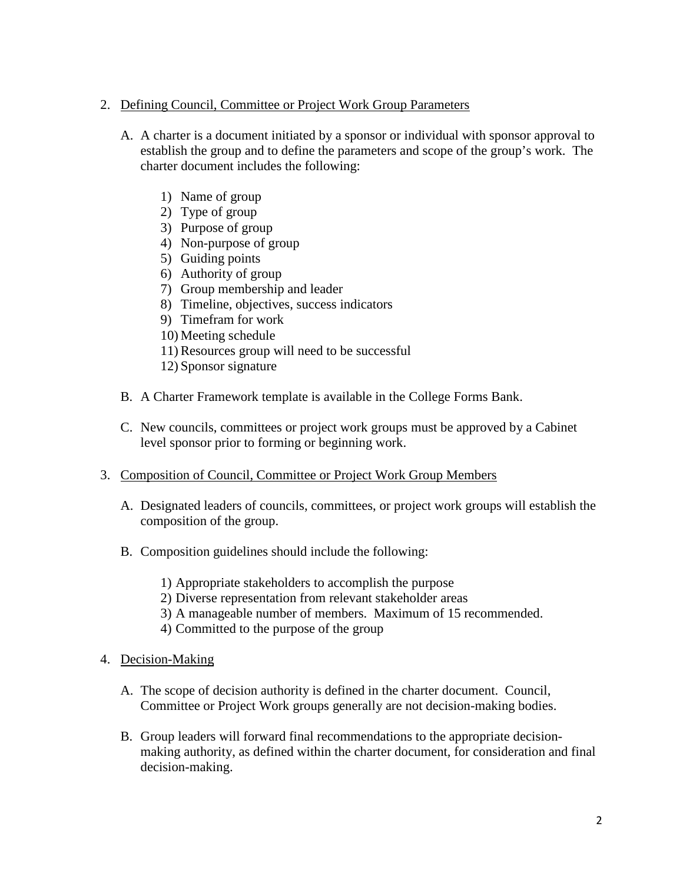# 2. Defining Council, Committee or Project Work Group Parameters

- A. A charter is a document initiated by a sponsor or individual with sponsor approval to establish the group and to define the parameters and scope of the group's work. The charter document includes the following:
	- 1) Name of group
	- 2) Type of group
	- 3) Purpose of group
	- 4) Non-purpose of group
	- 5) Guiding points
	- 6) Authority of group
	- 7) Group membership and leader
	- 8) Timeline, objectives, success indicators
	- 9) Timefram for work
	- 10) Meeting schedule
	- 11) Resources group will need to be successful
	- 12) Sponsor signature
- B. A Charter Framework template is available in the College Forms Bank.
- C. New councils, committees or project work groups must be approved by a Cabinet level sponsor prior to forming or beginning work.

# 3. Composition of Council, Committee or Project Work Group Members

- A. Designated leaders of councils, committees, or project work groups will establish the composition of the group.
- B. Composition guidelines should include the following:
	- 1) Appropriate stakeholders to accomplish the purpose
	- 2) Diverse representation from relevant stakeholder areas
	- 3) A manageable number of members. Maximum of 15 recommended.
	- 4) Committed to the purpose of the group
- 4. Decision-Making
	- A. The scope of decision authority is defined in the charter document. Council, Committee or Project Work groups generally are not decision-making bodies.
	- B. Group leaders will forward final recommendations to the appropriate decisionmaking authority, as defined within the charter document, for consideration and final decision-making.